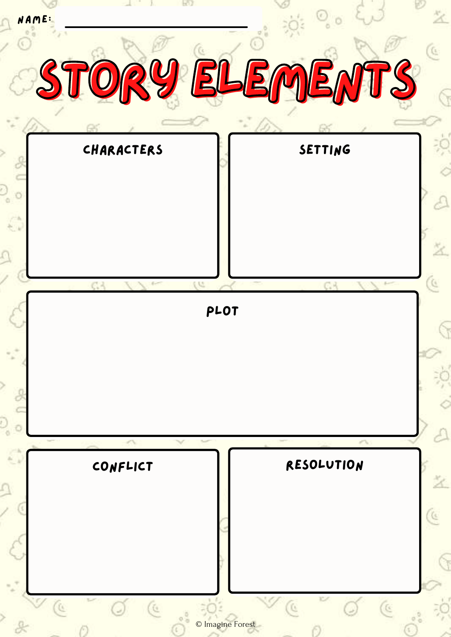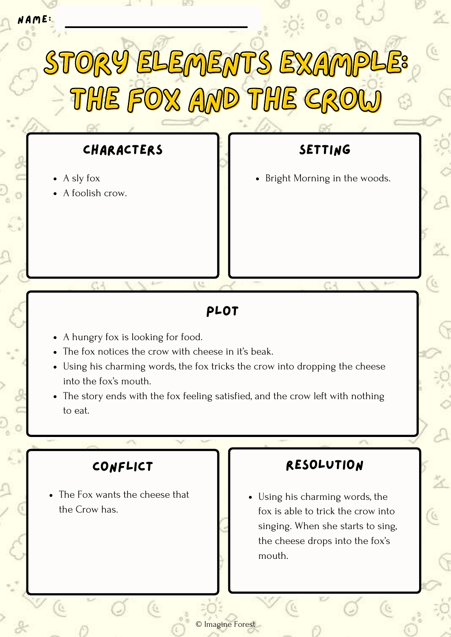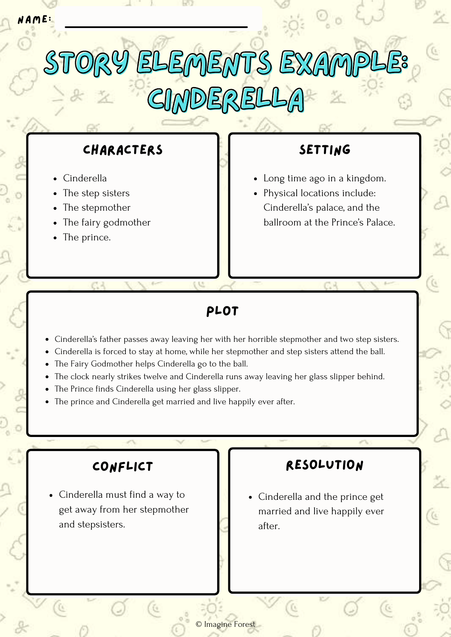

## Plot

Cinderella's father passes away leaving her with her horrible stepmother and two step sisters.

© Imagine Forest

- Cinderella is forced to stay at home, while her stepmother and step sisters attend the ball.
- The Fairy Godmother helps Cinderella go to the ball.
- The clock nearly strikes twelve and Cinderella runs away leaving her glass slipper behind.  $\bullet$
- The Prince finds Cinderella using her glass slipper.
- The prince and Cinderella get married and live happily ever after.

Cinderella must find a way to get away from her stepmother and stepsisters.

### Conflict Resolution

Cinderella and the prince get married and live happily ever after.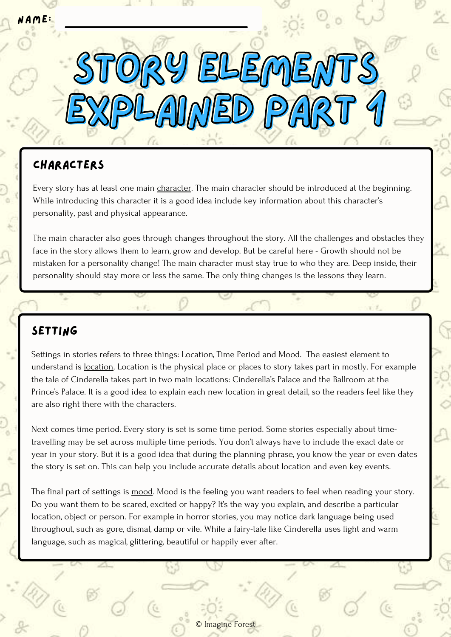# **CHARACTERS**

Every story has at least one main character. The main character should be introduced at the beginning. While introducing this character it is a good idea include key information about this character's personality, past and physical appearance.

STORY ELEMENTS

Explained part 1

The main character also goes through changes throughout the story. All the challenges and obstacles they face in the story allows them to learn, grow and develop. But be careful here - Growth should not be mistaken for a personality change! The main character must stay true to who they are. Deep inside, their personality should stay more or less the same. The only thing changes is the lessons they learn.

#### **SETTING**

Settings in stories refers to three things: Location, Time Period and Mood. The easiest element to understand is location. Location is the physical place or places to story takes part in mostly. For example the tale of Cinderella takes part in two main locations: Cinderella's Palace and the Ballroom at the Prince's Palace. It is a good idea to explain each new location in great detail, so the readers feel like they are also right there with the characters.

Next comes time period. Every story is set is some time period. Some stories especially about timetravelling may be set across multiple time periods. You don't always have to include the exact date or year in your story. But it is a good idea that during the planning phrase, you know the year or even dates the story is set on. This can help you include accurate details about location and even key events.

The final part of settings is mood. Mood is the feeling you want readers to feel when reading your story. Do you want them to be scared, excited or happy? It's the way you explain, and describe a particular location, object or person. For example in horror stories, you may notice dark language being used throughout, such as gore, dismal, damp or vile. While a fairy-tale like Cinderella uses light and warm language, such as magical, glittering, beautiful or happily ever after.

© Imagine Forest